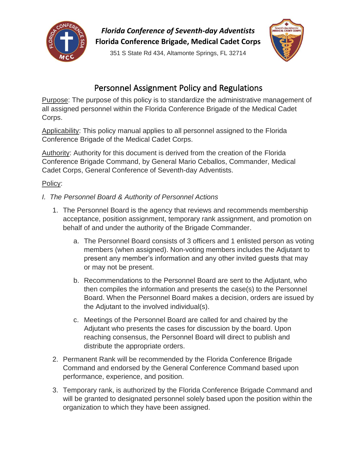

*Florida Conference of Seventh-day Adventists* **Florida Conference Brigade, Medical Cadet Corps**

351 S State Rd 434, Altamonte Springs, FL 32714



# Personnel Assignment Policy and Regulations

Purpose: The purpose of this policy is to standardize the administrative management of all assigned personnel within the Florida Conference Brigade of the Medical Cadet Corps.

Applicability: This policy manual applies to all personnel assigned to the Florida Conference Brigade of the Medical Cadet Corps.

Authority: Authority for this document is derived from the creation of the Florida Conference Brigade Command, by General Mario Ceballos, Commander, Medical Cadet Corps, General Conference of Seventh-day Adventists.

## Policy:

- *I. The Personnel Board & Authority of Personnel Actions*
	- 1. The Personnel Board is the agency that reviews and recommends membership acceptance, position assignment, temporary rank assignment, and promotion on behalf of and under the authority of the Brigade Commander.
		- a. The Personnel Board consists of 3 officers and 1 enlisted person as voting members (when assigned). Non-voting members includes the Adjutant to present any member's information and any other invited guests that may or may not be present.
		- b. Recommendations to the Personnel Board are sent to the Adjutant, who then compiles the information and presents the case(s) to the Personnel Board. When the Personnel Board makes a decision, orders are issued by the Adjutant to the involved individual(s).
		- c. Meetings of the Personnel Board are called for and chaired by the Adjutant who presents the cases for discussion by the board. Upon reaching consensus, the Personnel Board will direct to publish and distribute the appropriate orders.
	- 2. Permanent Rank will be recommended by the Florida Conference Brigade Command and endorsed by the General Conference Command based upon performance, experience, and position.
	- 3. Temporary rank, is authorized by the Florida Conference Brigade Command and will be granted to designated personnel solely based upon the position within the organization to which they have been assigned.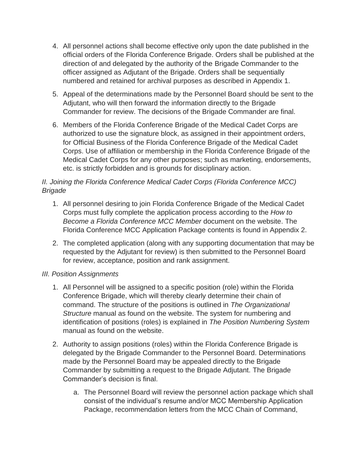- 4. All personnel actions shall become effective only upon the date published in the official orders of the Florida Conference Brigade. Orders shall be published at the direction of and delegated by the authority of the Brigade Commander to the officer assigned as Adjutant of the Brigade. Orders shall be sequentially numbered and retained for archival purposes as described in Appendix 1.
- 5. Appeal of the determinations made by the Personnel Board should be sent to the Adjutant, who will then forward the information directly to the Brigade Commander for review. The decisions of the Brigade Commander are final.
- 6. Members of the Florida Conference Brigade of the Medical Cadet Corps are authorized to use the signature block, as assigned in their appointment orders, for Official Business of the Florida Conference Brigade of the Medical Cadet Corps. Use of affiliation or membership in the Florida Conference Brigade of the Medical Cadet Corps for any other purposes; such as marketing, endorsements, etc. is strictly forbidden and is grounds for disciplinary action.

### *II. Joining the Florida Conference Medical Cadet Corps (Florida Conference MCC) Brigade*

- 1. All personnel desiring to join Florida Conference Brigade of the Medical Cadet Corps must fully complete the application process according to the *How to Become a Florida Conference MCC Member* document on the website. The Florida Conference MCC Application Package contents is found in Appendix 2.
- 2. The completed application (along with any supporting documentation that may be requested by the Adjutant for review) is then submitted to the Personnel Board for review, acceptance, position and rank assignment.

### *III. Position Assignments*

- 1. All Personnel will be assigned to a specific position (role) within the Florida Conference Brigade, which will thereby clearly determine their chain of command. The structure of the positions is outlined in *The Organizational Structure* manual as found on the website. The system for numbering and identification of positions (roles) is explained in *The Position Numbering System* manual as found on the website.
- 2. Authority to assign positions (roles) within the Florida Conference Brigade is delegated by the Brigade Commander to the Personnel Board. Determinations made by the Personnel Board may be appealed directly to the Brigade Commander by submitting a request to the Brigade Adjutant. The Brigade Commander's decision is final.
	- a. The Personnel Board will review the personnel action package which shall consist of the individual's resume and/or MCC Membership Application Package, recommendation letters from the MCC Chain of Command,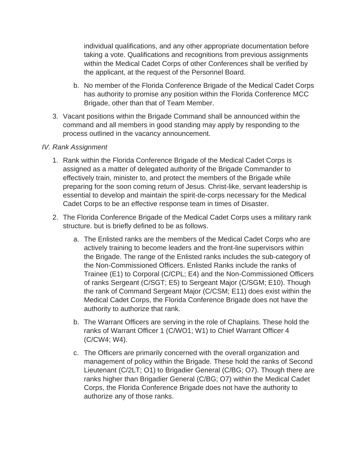individual qualifications, and any other appropriate documentation before taking a vote. Qualifications and recognitions from previous assignments within the Medical Cadet Corps of other Conferences shall be verified by the applicant, at the request of the Personnel Board.

- b. No member of the Florida Conference Brigade of the Medical Cadet Corps has authority to promise any position within the Florida Conference MCC Brigade, other than that of Team Member.
- 3. Vacant positions within the Brigade Command shall be announced within the command and all members in good standing may apply by responding to the process outlined in the vacancy announcement.

### *IV. Rank Assignment*

- 1. Rank within the Florida Conference Brigade of the Medical Cadet Corps is assigned as a matter of delegated authority of the Brigade Commander to effectively train, minister to, and protect the members of the Brigade while preparing for the soon coming return of Jesus. Christ-like, servant leadership is essential to develop and maintain the spirit-de-corps necessary for the Medical Cadet Corps to be an effective response team in times of Disaster.
- 2. The Florida Conference Brigade of the Medical Cadet Corps uses a military rank structure. but is briefly defined to be as follows.
	- a. The Enlisted ranks are the members of the Medical Cadet Corps who are actively training to become leaders and the front-line supervisors within the Brigade. The range of the Enlisted ranks includes the sub-category of the Non-Commissioned Officers. Enlisted Ranks include the ranks of Trainee (E1) to Corporal (C/CPL; E4) and the Non-Commissioned Officers of ranks Sergeant (C/SGT; E5) to Sergeant Major (C/SGM; E10). Though the rank of Command Sergeant Major (C/CSM; E11) does exist within the Medical Cadet Corps, the Florida Conference Brigade does not have the authority to authorize that rank.
	- b. The Warrant Officers are serving in the role of Chaplains. These hold the ranks of Warrant Officer 1 (C/WO1; W1) to Chief Warrant Officer 4 (C/CW4; W4).
	- c. The Officers are primarily concerned with the overall organization and management of policy within the Brigade. These hold the ranks of Second Lieutenant (C/2LT; O1) to Brigadier General (C/BG; O7). Though there are ranks higher than Brigadier General (C/BG; O7) within the Medical Cadet Corps, the Florida Conference Brigade does not have the authority to authorize any of those ranks.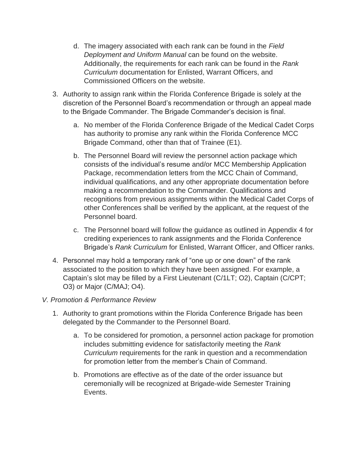- d. The imagery associated with each rank can be found in the *Field Deployment and Uniform Manual* can be found on the website. Additionally, the requirements for each rank can be found in the *Rank Curriculum* documentation for Enlisted, Warrant Officers, and Commissioned Officers on the website.
- 3. Authority to assign rank within the Florida Conference Brigade is solely at the discretion of the Personnel Board's recommendation or through an appeal made to the Brigade Commander. The Brigade Commander's decision is final.
	- a. No member of the Florida Conference Brigade of the Medical Cadet Corps has authority to promise any rank within the Florida Conference MCC Brigade Command, other than that of Trainee (E1).
	- b. The Personnel Board will review the personnel action package which consists of the individual's resume and/or MCC Membership Application Package, recommendation letters from the MCC Chain of Command, individual qualifications, and any other appropriate documentation before making a recommendation to the Commander. Qualifications and recognitions from previous assignments within the Medical Cadet Corps of other Conferences shall be verified by the applicant, at the request of the Personnel board.
	- c. The Personnel board will follow the guidance as outlined in Appendix 4 for crediting experiences to rank assignments and the Florida Conference Brigade's *Rank Curriculum* for Enlisted, Warrant Officer, and Officer ranks.
- 4. Personnel may hold a temporary rank of "one up or one down" of the rank associated to the position to which they have been assigned. For example, a Captain's slot may be filled by a First Lieutenant (C/1LT; O2), Captain (C/CPT; O3) or Major (C/MAJ; O4).

### *V. Promotion & Performance Review*

- 1. Authority to grant promotions within the Florida Conference Brigade has been delegated by the Commander to the Personnel Board.
	- a. To be considered for promotion, a personnel action package for promotion includes submitting evidence for satisfactorily meeting the *Rank Curriculum* requirements for the rank in question and a recommendation for promotion letter from the member's Chain of Command.
	- b. Promotions are effective as of the date of the order issuance but ceremonially will be recognized at Brigade-wide Semester Training Events.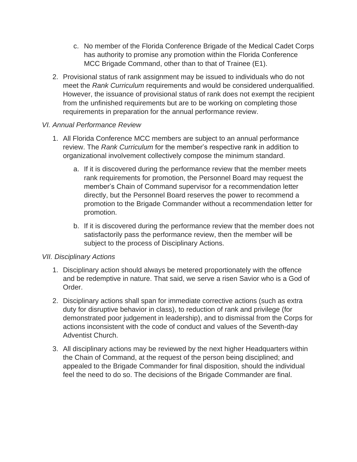- c. No member of the Florida Conference Brigade of the Medical Cadet Corps has authority to promise any promotion within the Florida Conference MCC Brigade Command, other than to that of Trainee (E1).
- 2. Provisional status of rank assignment may be issued to individuals who do not meet the *Rank Curriculum* requirements and would be considered underqualified. However, the issuance of provisional status of rank does not exempt the recipient from the unfinished requirements but are to be working on completing those requirements in preparation for the annual performance review.

### *VI. Annual Performance Review*

- 1. All Florida Conference MCC members are subject to an annual performance review. The *Rank Curriculum* for the member's respective rank in addition to organizational involvement collectively compose the minimum standard.
	- a. If it is discovered during the performance review that the member meets rank requirements for promotion, the Personnel Board may request the member's Chain of Command supervisor for a recommendation letter directly, but the Personnel Board reserves the power to recommend a promotion to the Brigade Commander without a recommendation letter for promotion.
	- b. If it is discovered during the performance review that the member does not satisfactorily pass the performance review, then the member will be subject to the process of Disciplinary Actions.

### *VII. Disciplinary Actions*

- 1. Disciplinary action should always be metered proportionately with the offence and be redemptive in nature. That said, we serve a risen Savior who is a God of Order.
- 2. Disciplinary actions shall span for immediate corrective actions (such as extra duty for disruptive behavior in class), to reduction of rank and privilege (for demonstrated poor judgement in leadership), and to dismissal from the Corps for actions inconsistent with the code of conduct and values of the Seventh-day Adventist Church.
- 3. All disciplinary actions may be reviewed by the next higher Headquarters within the Chain of Command, at the request of the person being disciplined; and appealed to the Brigade Commander for final disposition, should the individual feel the need to do so. The decisions of the Brigade Commander are final.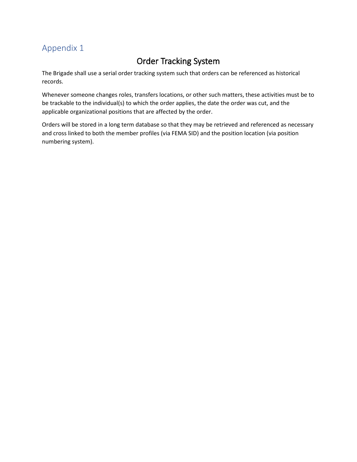# Order Tracking System

The Brigade shall use a serial order tracking system such that orders can be referenced as historical records.

Whenever someone changes roles, transfers locations, or other such matters, these activities must be to be trackable to the individual(s) to which the order applies, the date the order was cut, and the applicable organizational positions that are affected by the order.

Orders will be stored in a long term database so that they may be retrieved and referenced as necessary and cross linked to both the member profiles (via FEMA SID) and the position location (via position numbering system).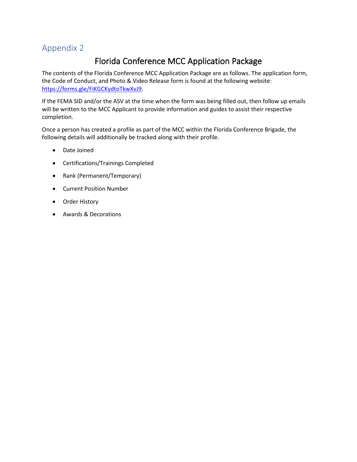# Florida Conference MCC Application Package

The contents of the Florida Conference MCC Application Package are as follows. The application form, the Code of Conduct, and Photo & Video Release form is found at the following website: [https://forms.gle/FiKGCKydtoTkwXvJ9.](https://forms.gle/FiKGCKydtoTkwXvJ9)

If the FEMA SID and/or the ASV at the time when the form was being filled out, then follow up emails will be written to the MCC Applicant to provide information and guides to assist their respective completion.

Once a person has created a profile as part of the MCC within the Florida Conference Brigade, the following details will additionally be tracked along with their profile.

- Date Joined
- Certifications/Trainings Completed
- Rank (Permanent/Temporary)
- Current Position Number
- Order History
- Awards & Decorations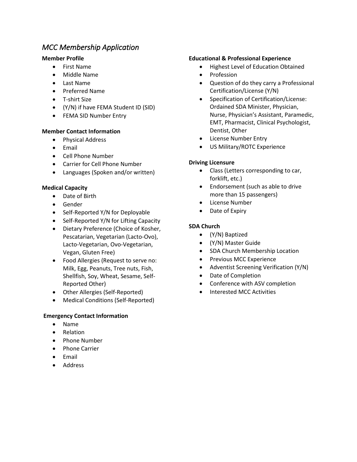### *MCC Membership Application*

#### **Member Profile**

- First Name
- Middle Name
- Last Name
- Preferred Name
- T-shirt Size
- (Y/N) if have FEMA Student ID (SID)
- FEMA SID Number Entry

#### **Member Contact Information**

- Physical Address
- Email
- Cell Phone Number
- Carrier for Cell Phone Number
- Languages (Spoken and/or written)

#### **Medical Capacity**

- Date of Birth
- Gender
- Self-Reported Y/N for Deployable
- Self-Reported Y/N for Lifting Capacity
- Dietary Preference (Choice of Kosher, Pescatarian, Vegetarian (Lacto-Ovo), Lacto-Vegetarian, Ovo-Vegetarian, Vegan, Gluten Free)
- Food Allergies (Request to serve no: Milk, Egg, Peanuts, Tree nuts, Fish, Shellfish, Soy, Wheat, Sesame, Self-Reported Other)
- Other Allergies (Self-Reported)
- Medical Conditions (Self-Reported)

#### **Emergency Contact Information**

- Name
- Relation
- Phone Number
- Phone Carrier
- Email
- Address

#### **Educational & Professional Experience**

- Highest Level of Education Obtained
- Profession
- Question of do they carry a Professional Certification/License (Y/N)
- Specification of Certification/License: Ordained SDA Minister, Physician, Nurse, Physician's Assistant, Paramedic, EMT, Pharmacist, Clinical Psychologist, Dentist, Other
- License Number Entry
- US Military/ROTC Experience

#### **Driving Licensure**

- Class (Letters corresponding to car, forklift, etc.)
- Endorsement (such as able to drive more than 15 passengers)
- License Number
- Date of Expiry

#### **SDA Church**

- (Y/N) Baptized
- (Y/N) Master Guide
- SDA Church Membership Location
- Previous MCC Experience
- Adventist Screening Verification (Y/N)
- Date of Completion
- Conference with ASV completion
- Interested MCC Activities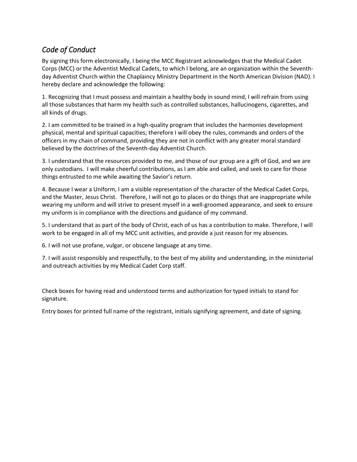## *Code of Conduct*

By signing this form electronically, I being the MCC Registrant acknowledges that the Medical Cadet Corps (MCC) or the Adventist Medical Cadets, to which I belong, are an organization within the Seventhday Adventist Church within the Chaplaincy Ministry Department in the North American Division (NAD). I hereby declare and acknowledge the following:

1. Recognizing that I must possess and maintain a healthy body in sound mind, I will refrain from using all those substances that harm my health such as controlled substances, hallucinogens, cigarettes, and all kinds of drugs.

2. I am committed to be trained in a high-quality program that includes the harmonies development physical, mental and spiritual capacities; therefore I will obey the rules, commands and orders of the officers in my chain of command, providing they are not in conflict with any greater moral standard believed by the doctrines of the Seventh-day Adventist Church.

3. I understand that the resources provided to me, and those of our group are a gift of God, and we are only custodians. I will make cheerful contributions, as I am able and called, and seek to care for those things entrusted to me while awaiting the Savior's return.

4. Because I wear a Uniform, I am a visible representation of the character of the Medical Cadet Corps, and the Master, Jesus Christ. Therefore, I will not go to places or do things that are inappropriate while wearing my uniform and will strive to present myself in a well-groomed appearance, and seek to ensure my uniform is in compliance with the directions and guidance of my command.

5. I understand that as part of the body of Christ, each of us has a contribution to make. Therefore, I will work to be engaged in all of my MCC unit activities, and provide a just reason for my absences.

6. I will not use profane, vulgar, or obscene language at any time.

7. I will assist responsibly and respectfully, to the best of my ability and understanding, in the ministerial and outreach activities by my Medical Cadet Corp staff.

Check boxes for having read and understood terms and authorization for typed initials to stand for signature.

Entry boxes for printed full name of the registrant, initials signifying agreement, and date of signing.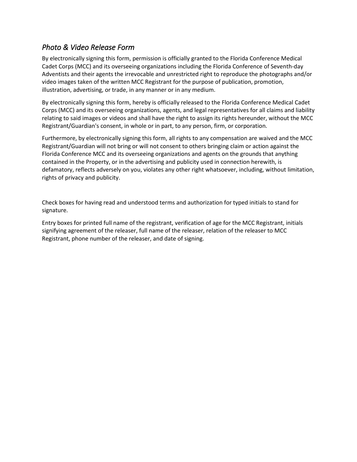### *Photo & Video Release Form*

By electronically signing this form, permission is officially granted to the Florida Conference Medical Cadet Corps (MCC) and its overseeing organizations including the Florida Conference of Seventh-day Adventists and their agents the irrevocable and unrestricted right to reproduce the photographs and/or video images taken of the written MCC Registrant for the purpose of publication, promotion, illustration, advertising, or trade, in any manner or in any medium.

By electronically signing this form, hereby is officially released to the Florida Conference Medical Cadet Corps (MCC) and its overseeing organizations, agents, and legal representatives for all claims and liability relating to said images or videos and shall have the right to assign its rights hereunder, without the MCC Registrant/Guardian's consent, in whole or in part, to any person, firm, or corporation.

Furthermore, by electronically signing this form, all rights to any compensation are waived and the MCC Registrant/Guardian will not bring or will not consent to others bringing claim or action against the Florida Conference MCC and its overseeing organizations and agents on the grounds that anything contained in the Property, or in the advertising and publicity used in connection herewith, is defamatory, reflects adversely on you, violates any other right whatsoever, including, without limitation, rights of privacy and publicity.

Check boxes for having read and understood terms and authorization for typed initials to stand for signature.

Entry boxes for printed full name of the registrant, verification of age for the MCC Registrant, initials signifying agreement of the releaser, full name of the releaser, relation of the releaser to MCC Registrant, phone number of the releaser, and date of signing.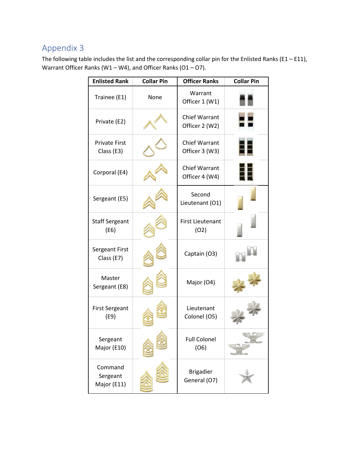The following table includes the list and the corresponding collar pin for the Enlisted Ranks (E1 – E11), Warrant Officer Ranks (W1 – W4), and Officer Ranks (O1 – O7).

| <b>Enlisted Rank</b>               | <b>Collar Pin</b> | <b>Officer Ranks</b>                   | <b>Collar Pin</b> |
|------------------------------------|-------------------|----------------------------------------|-------------------|
| Trainee (E1)                       | None              | Warrant<br>Officer 1 (W1)              |                   |
| Private (E2)                       |                   | <b>Chief Warrant</b><br>Officer 2 (W2) |                   |
| <b>Private First</b><br>Class (E3) |                   | <b>Chief Warrant</b><br>Officer 3 (W3) | 30                |
| Corporal (E4)                      |                   | <b>Chief Warrant</b><br>Officer 4 (W4) | 昍                 |
| Sergeant (E5)                      |                   | Second<br>Lieutenant (O1)              |                   |
| <b>Staff Sergeant</b><br>(E6)      |                   | <b>First Lieutenant</b><br>(02)        |                   |
| Sergeant First<br>Class (E7)       |                   | Captain (O3)                           |                   |
| Master<br>Sergeant (E8)            |                   | Major (O4)                             |                   |
| <b>First Sergeant</b><br>(E9)      |                   | Lieutenant<br>Colonel (O5)             |                   |
| Sergeant<br>Major (E10)            |                   | <b>Full Colonel</b><br>(06)            |                   |
| Command<br>Sergeant<br>Major (E11) |                   | <b>Brigadier</b><br>General (O7)       |                   |